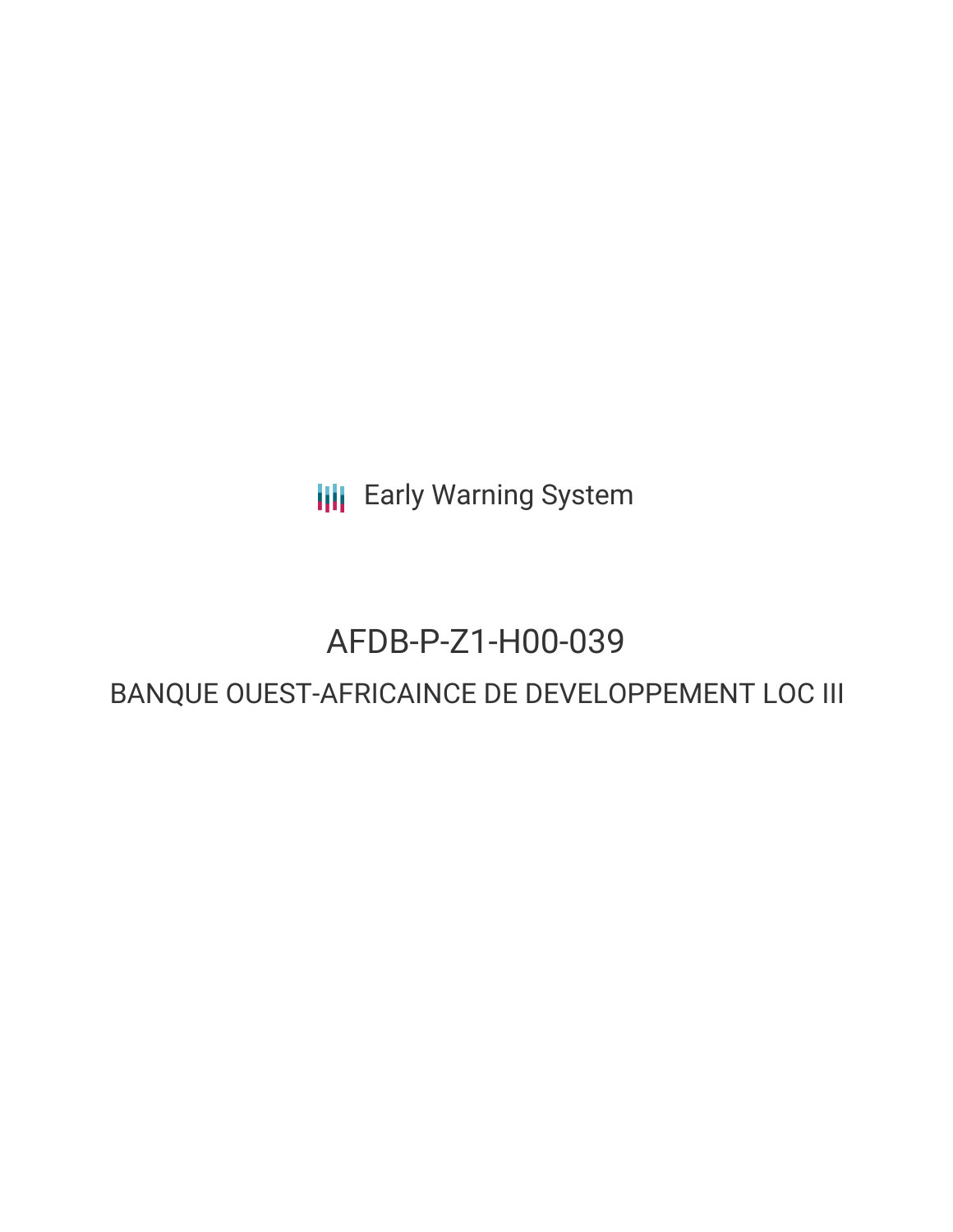**III** Early Warning System

## AFDB-P-Z1-H00-039

### BANQUE OUEST-AFRICAINCE DE DEVELOPPEMENT LOC III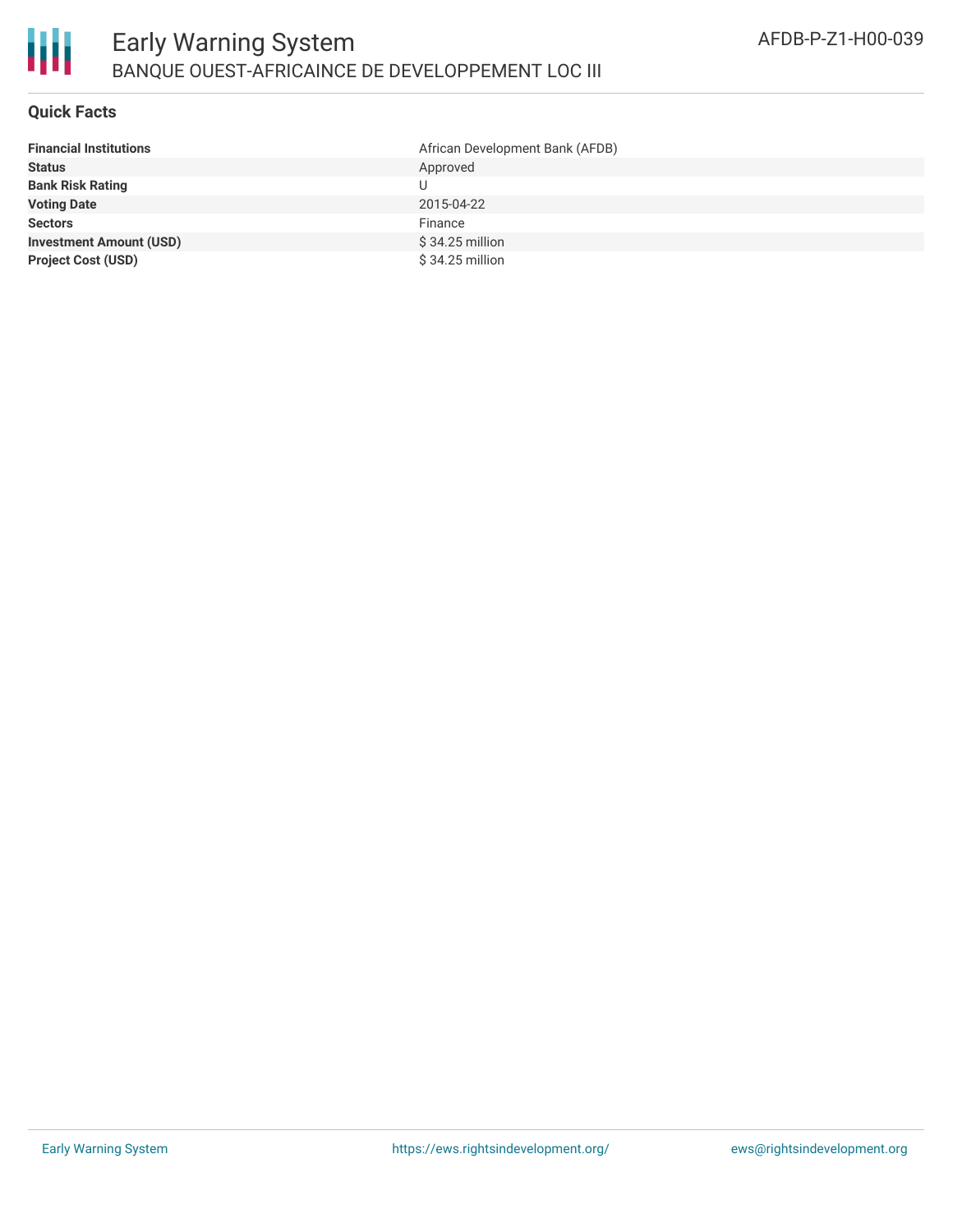

### **Quick Facts**

| <b>Financial Institutions</b>  | African Development Bank (AFDB) |
|--------------------------------|---------------------------------|
| <b>Status</b>                  | Approved                        |
| <b>Bank Risk Rating</b>        |                                 |
| <b>Voting Date</b>             | 2015-04-22                      |
| <b>Sectors</b>                 | Finance                         |
| <b>Investment Amount (USD)</b> | $$34.25$ million                |
| <b>Project Cost (USD)</b>      | $$34.25$ million                |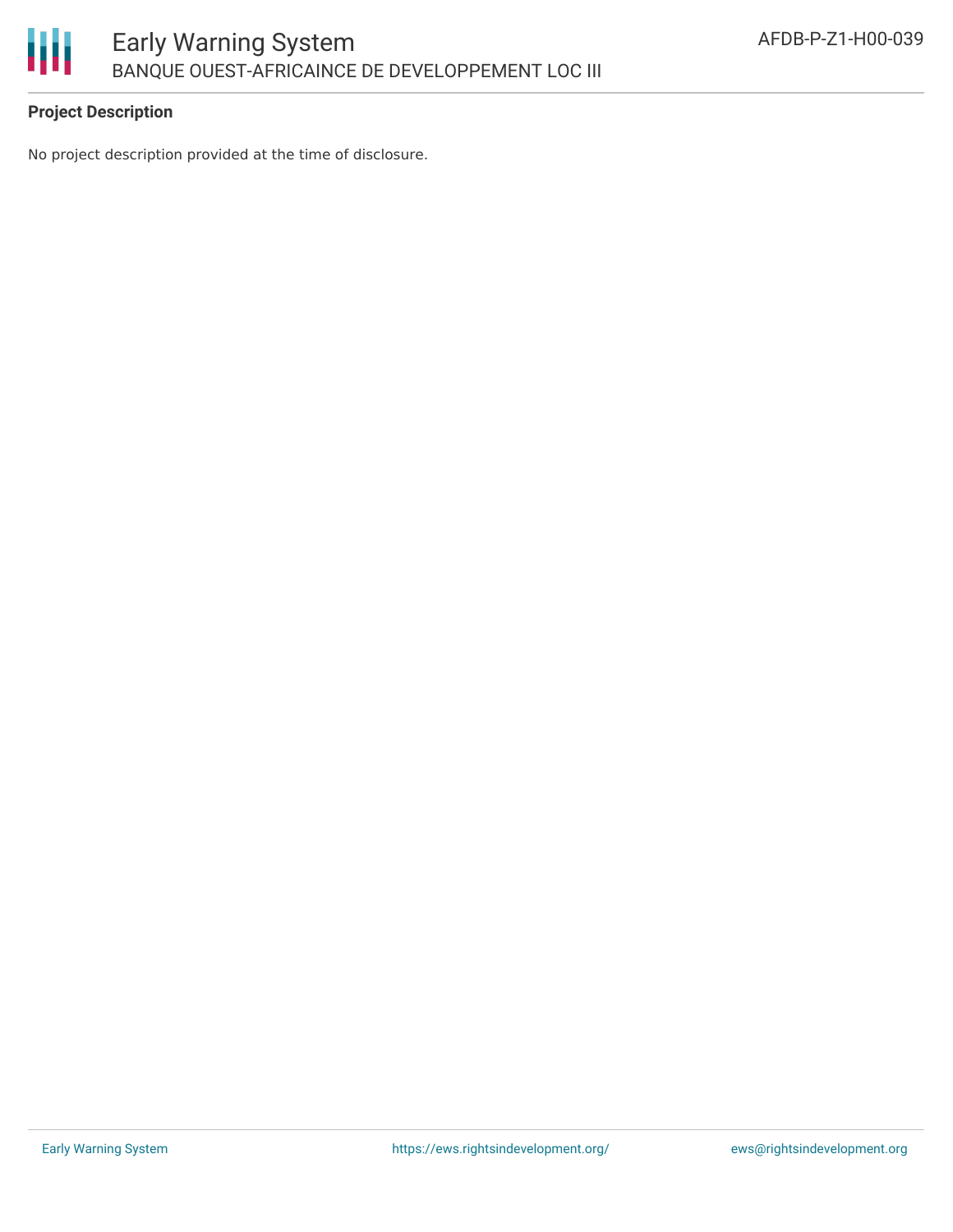

### **Project Description**

No project description provided at the time of disclosure.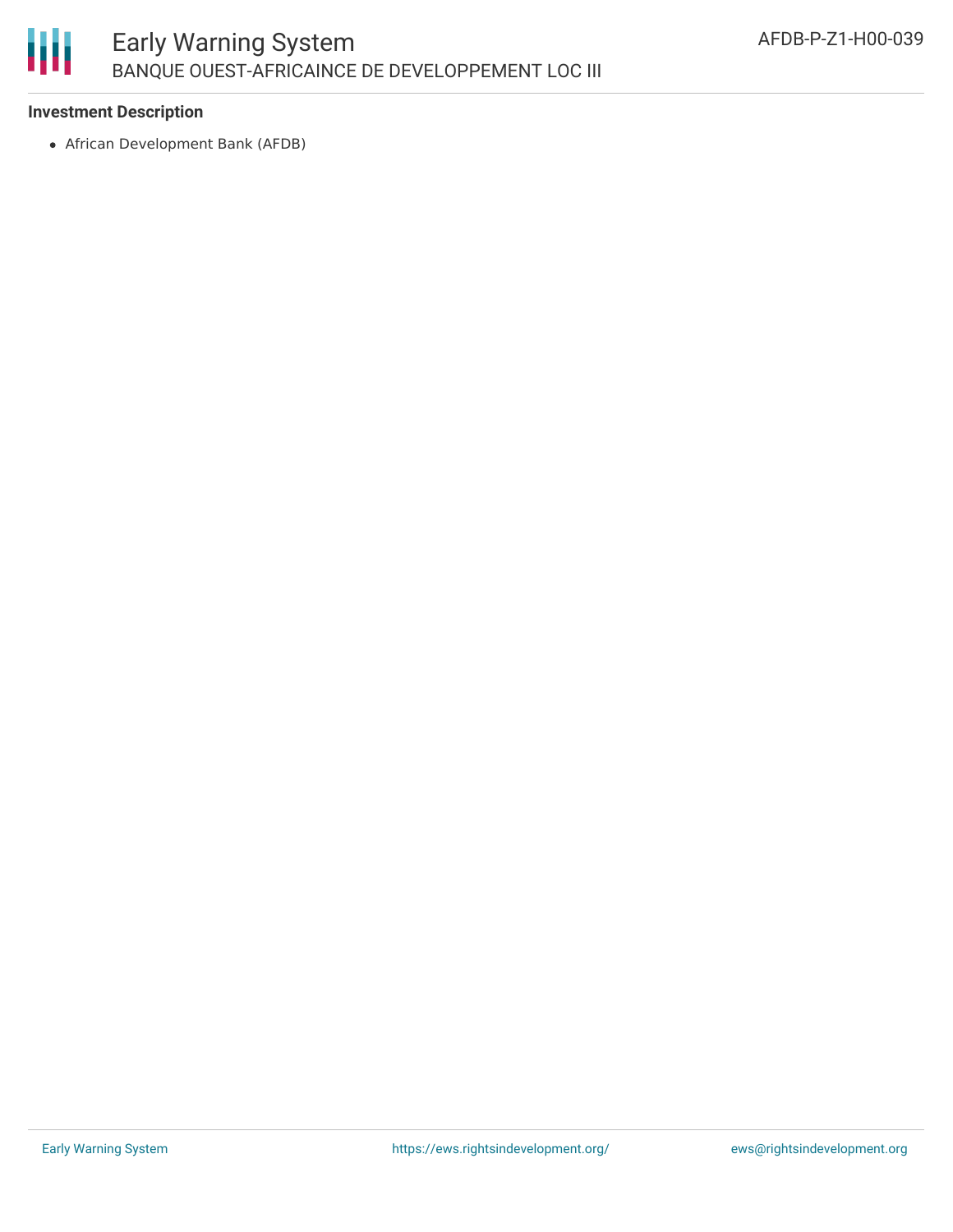# Ш

### **Investment Description**

African Development Bank (AFDB)